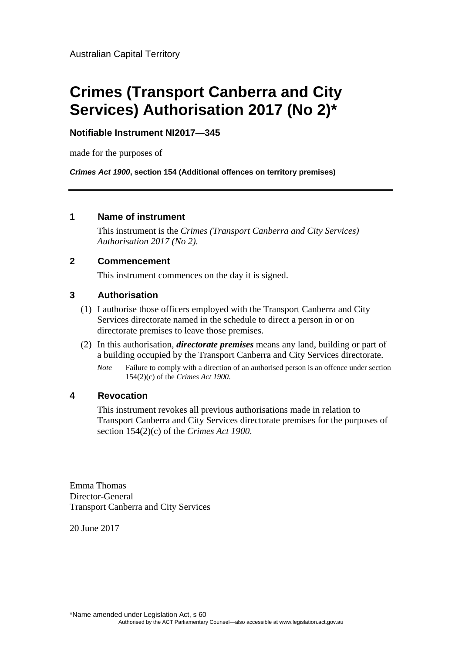# **Crimes (Transport Canberra and City Services) Authorisation 2017 (No 2)\***

# **Notifiable Instrument NI2017—345**

made for the purposes of

*Crimes Act 1900***, section 154 (Additional offences on territory premises)** 

# **1 Name of instrument**

This instrument is the *Crimes (Transport Canberra and City Services) Authorisation 2017 (No 2)*.

### **2 Commencement**

This instrument commences on the day it is signed.

# **3 Authorisation**

- (1) I authorise those officers employed with the Transport Canberra and City Services directorate named in the schedule to direct a person in or on directorate premises to leave those premises.
- (2) In this authorisation, *directorate premises* means any land, building or part of a building occupied by the Transport Canberra and City Services directorate.
	- *Note* Failure to comply with a direction of an authorised person is an offence under section 154(2)(c) of the *Crimes Act 1900*.

# **4 Revocation**

This instrument revokes all previous authorisations made in relation to Transport Canberra and City Services directorate premises for the purposes of section 154(2)(c) of the *Crimes Act 1900*.

Emma Thomas Director-General Transport Canberra and City Services

20 June 2017